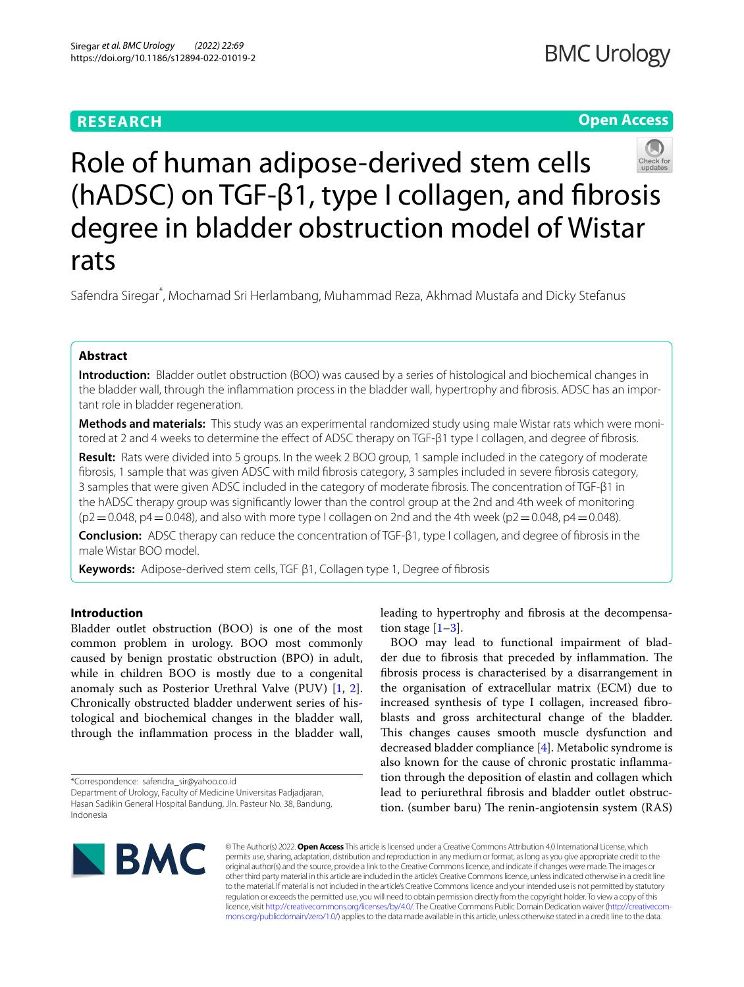# **RESEARCH**

# **Open Access**



# Role of human adipose-derived stem cells (hADSC) on TGF-β1, type I collagen, and fbrosis degree in bladder obstruction model of Wistar rats

Safendra Siregar\* , Mochamad Sri Herlambang, Muhammad Reza, Akhmad Mustafa and Dicky Stefanus

## **Abstract**

**Introduction:** Bladder outlet obstruction (BOO) was caused by a series of histological and biochemical changes in the bladder wall, through the infammation process in the bladder wall, hypertrophy and fbrosis. ADSC has an important role in bladder regeneration.

**Methods and materials:** This study was an experimental randomized study using male Wistar rats which were monitored at 2 and 4 weeks to determine the effect of ADSC therapy on TGF-β1 type I collagen, and degree of fibrosis.

**Result:** Rats were divided into 5 groups. In the week 2 BOO group, 1 sample included in the category of moderate fbrosis, 1 sample that was given ADSC with mild fbrosis category, 3 samples included in severe fbrosis category, 3 samples that were given ADSC included in the category of moderate fbrosis. The concentration of TGF-β1 in the hADSC therapy group was signifcantly lower than the control group at the 2nd and 4th week of monitoring  $(p2=0.048, p4=0.048)$ , and also with more type I collagen on 2nd and the 4th week  $(p2=0.048, p4=0.048)$ .

**Conclusion:** ADSC therapy can reduce the concentration of TGF-β1, type I collagen, and degree of fbrosis in the male Wistar BOO model.

**Keywords:** Adipose-derived stem cells, TGF β1, Collagen type 1, Degree of fbrosis

## **Introduction**

Bladder outlet obstruction (BOO) is one of the most common problem in urology. BOO most commonly caused by benign prostatic obstruction (BPO) in adult, while in children BOO is mostly due to a congenital anomaly such as Posterior Urethral Valve (PUV) [\[1](#page-6-0), [2](#page-6-1)]. Chronically obstructed bladder underwent series of histological and biochemical changes in the bladder wall, through the infammation process in the bladder wall,

\*Correspondence: safendra\_sir@yahoo.co.id

leading to hypertrophy and fbrosis at the decompensation stage  $[1-3]$  $[1-3]$ .

BOO may lead to functional impairment of bladder due to fibrosis that preceded by inflammation. The fbrosis process is characterised by a disarrangement in the organisation of extracellular matrix (ECM) due to increased synthesis of type I collagen, increased fbroblasts and gross architectural change of the bladder. This changes causes smooth muscle dysfunction and decreased bladder compliance [\[4](#page-6-3)]. Metabolic syndrome is also known for the cause of chronic prostatic infammation through the deposition of elastin and collagen which lead to periurethral fbrosis and bladder outlet obstruction. (sumber baru) The renin-angiotensin system (RAS)



© The Author(s) 2022. **Open Access** This article is licensed under a Creative Commons Attribution 4.0 International License, which permits use, sharing, adaptation, distribution and reproduction in any medium or format, as long as you give appropriate credit to the original author(s) and the source, provide a link to the Creative Commons licence, and indicate if changes were made. The images or other third party material in this article are included in the article's Creative Commons licence, unless indicated otherwise in a credit line to the material. If material is not included in the article's Creative Commons licence and your intended use is not permitted by statutory regulation or exceeds the permitted use, you will need to obtain permission directly from the copyright holder. To view a copy of this licence, visit [http://creativecommons.org/licenses/by/4.0/.](http://creativecommons.org/licenses/by/4.0/) The Creative Commons Public Domain Dedication waiver ([http://creativecom](http://creativecommons.org/publicdomain/zero/1.0/)[mons.org/publicdomain/zero/1.0/\)](http://creativecommons.org/publicdomain/zero/1.0/) applies to the data made available in this article, unless otherwise stated in a credit line to the data.

Department of Urology, Faculty of Medicine Universitas Padjadjaran, Hasan Sadikin General Hospital Bandung, Jln. Pasteur No. 38, Bandung, Indonesia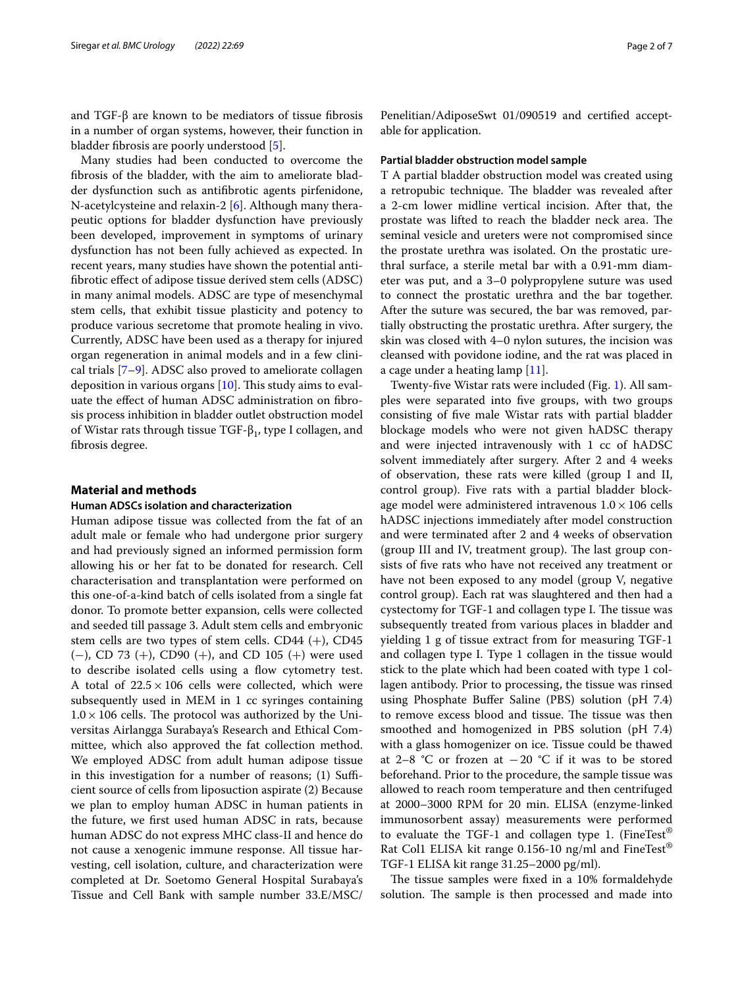and TGF-β are known to be mediators of tissue fibrosis in a number of organ systems, however, their function in bladder fbrosis are poorly understood [\[5](#page-6-4)].

Many studies had been conducted to overcome the fbrosis of the bladder, with the aim to ameliorate bladder dysfunction such as antifbrotic agents pirfenidone, N-acetylcysteine and relaxin-2 [[6\]](#page-6-5). Although many therapeutic options for bladder dysfunction have previously been developed, improvement in symptoms of urinary dysfunction has not been fully achieved as expected. In recent years, many studies have shown the potential antifbrotic efect of adipose tissue derived stem cells (ADSC) in many animal models. ADSC are type of mesenchymal stem cells, that exhibit tissue plasticity and potency to produce various secretome that promote healing in vivo. Currently, ADSC have been used as a therapy for injured organ regeneration in animal models and in a few clinical trials [\[7](#page-6-6)[–9](#page-6-7)]. ADSC also proved to ameliorate collagen deposition in various organs  $[10]$  $[10]$ . This study aims to evaluate the efect of human ADSC administration on fbrosis process inhibition in bladder outlet obstruction model of Wistar rats through tissue TGF- $\beta_1$ , type I collagen, and fbrosis degree.

## **Material and methods**

## **Human ADSCs isolation and characterization**

Human adipose tissue was collected from the fat of an adult male or female who had undergone prior surgery and had previously signed an informed permission form allowing his or her fat to be donated for research. Cell characterisation and transplantation were performed on this one-of-a-kind batch of cells isolated from a single fat donor. To promote better expansion, cells were collected and seeded till passage 3. Adult stem cells and embryonic stem cells are two types of stem cells.  $CD44 (+)$ ,  $CD45$ (−), CD 73 (+), CD90 (+), and CD 105 (+) were used to describe isolated cells using a flow cytometry test. A total of  $22.5 \times 106$  cells were collected, which were subsequently used in MEM in 1 cc syringes containing  $1.0 \times 106$  cells. The protocol was authorized by the Universitas Airlangga Surabaya's Research and Ethical Committee, which also approved the fat collection method. We employed ADSC from adult human adipose tissue in this investigation for a number of reasons;  $(1)$  Sufficient source of cells from liposuction aspirate (2) Because we plan to employ human ADSC in human patients in the future, we frst used human ADSC in rats, because human ADSC do not express MHC class-II and hence do not cause a xenogenic immune response. All tissue harvesting, cell isolation, culture, and characterization were completed at Dr. Soetomo General Hospital Surabaya's Tissue and Cell Bank with sample number 33.E/MSC/ Penelitian/AdiposeSwt 01/090519 and certifed acceptable for application.

## **Partial bladder obstruction model sample**

T A partial bladder obstruction model was created using a retropubic technique. The bladder was revealed after a 2-cm lower midline vertical incision. After that, the prostate was lifted to reach the bladder neck area. The seminal vesicle and ureters were not compromised since the prostate urethra was isolated. On the prostatic urethral surface, a sterile metal bar with a 0.91-mm diameter was put, and a 3–0 polypropylene suture was used to connect the prostatic urethra and the bar together. After the suture was secured, the bar was removed, partially obstructing the prostatic urethra. After surgery, the skin was closed with 4–0 nylon sutures, the incision was cleansed with povidone iodine, and the rat was placed in a cage under a heating lamp [[11\]](#page-6-9).

Twenty-fve Wistar rats were included (Fig. [1](#page-2-0)). All samples were separated into fve groups, with two groups consisting of fve male Wistar rats with partial bladder blockage models who were not given hADSC therapy and were injected intravenously with 1 cc of hADSC solvent immediately after surgery. After 2 and 4 weeks of observation, these rats were killed (group I and II, control group). Five rats with a partial bladder blockage model were administered intravenous  $1.0 \times 106$  cells hADSC injections immediately after model construction and were terminated after 2 and 4 weeks of observation (group III and IV, treatment group). The last group consists of fve rats who have not received any treatment or have not been exposed to any model (group V, negative control group). Each rat was slaughtered and then had a cystectomy for TGF-1 and collagen type I. The tissue was subsequently treated from various places in bladder and yielding 1 g of tissue extract from for measuring TGF-1 and collagen type I. Type 1 collagen in the tissue would stick to the plate which had been coated with type 1 collagen antibody. Prior to processing, the tissue was rinsed using Phosphate Bufer Saline (PBS) solution (pH 7.4) to remove excess blood and tissue. The tissue was then smoothed and homogenized in PBS solution (pH 7.4) with a glass homogenizer on ice. Tissue could be thawed at 2–8 °C or frozen at −20 °C if it was to be stored beforehand. Prior to the procedure, the sample tissue was allowed to reach room temperature and then centrifuged at 2000–3000 RPM for 20 min. ELISA (enzyme-linked immunosorbent assay) measurements were performed to evaluate the TGF-1 and collagen type 1. (FineTest<sup>®</sup> Rat Col1 ELISA kit range 0.156-10 ng/ml and FineTest® TGF-1 ELISA kit range 31.25–2000 pg/ml).

The tissue samples were fixed in a 10% formaldehyde solution. The sample is then processed and made into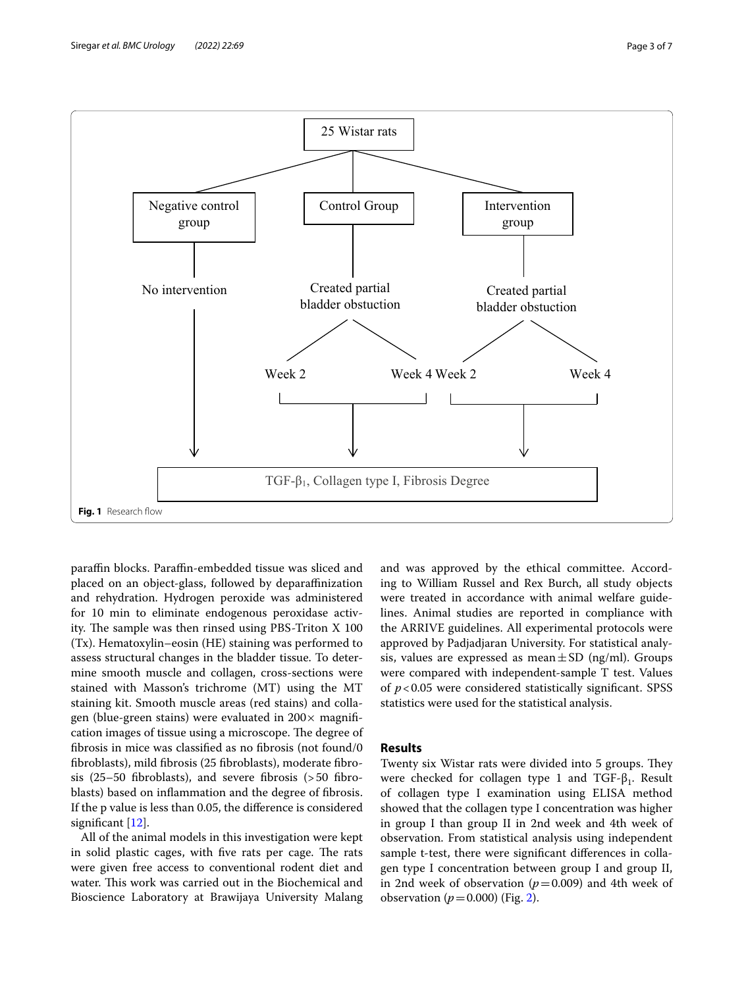

<span id="page-2-0"></span>parafn blocks. Parafn-embedded tissue was sliced and placed on an object-glass, followed by deparafnization and rehydration. Hydrogen peroxide was administered for 10 min to eliminate endogenous peroxidase activity. The sample was then rinsed using PBS-Triton  $X$  100 (Tx). Hematoxylin–eosin (HE) staining was performed to assess structural changes in the bladder tissue. To determine smooth muscle and collagen, cross-sections were stained with Masson's trichrome (MT) using the MT staining kit. Smooth muscle areas (red stains) and collagen (blue-green stains) were evaluated in  $200 \times$  magnification images of tissue using a microscope. The degree of fbrosis in mice was classifed as no fbrosis (not found/0 fbroblasts), mild fbrosis (25 fbroblasts), moderate fbrosis (25–50 fbroblasts), and severe fbrosis (>50 fbroblasts) based on infammation and the degree of fbrosis. If the p value is less than 0.05, the diference is considered signifcant [[12](#page-6-10)].

All of the animal models in this investigation were kept in solid plastic cages, with five rats per cage. The rats were given free access to conventional rodent diet and water. This work was carried out in the Biochemical and Bioscience Laboratory at Brawijaya University Malang and was approved by the ethical committee. According to William Russel and Rex Burch, all study objects were treated in accordance with animal welfare guidelines. Animal studies are reported in compliance with the ARRIVE guidelines. All experimental protocols were approved by Padjadjaran University. For statistical analysis, values are expressed as mean $\pm$ SD (ng/ml). Groups were compared with independent-sample T test. Values of *p*<0.05 were considered statistically signifcant. SPSS statistics were used for the statistical analysis.

## **Results**

Twenty six Wistar rats were divided into 5 groups. They were checked for collagen type 1 and  $TGF-\beta_1$ . Result of collagen type I examination using ELISA method showed that the collagen type I concentration was higher in group I than group II in 2nd week and 4th week of observation. From statistical analysis using independent sample t-test, there were signifcant diferences in collagen type I concentration between group I and group II, in 2nd week of observation  $(p=0.009)$  and 4th week of observation  $(p=0.000)$  (Fig. [2](#page-3-0)).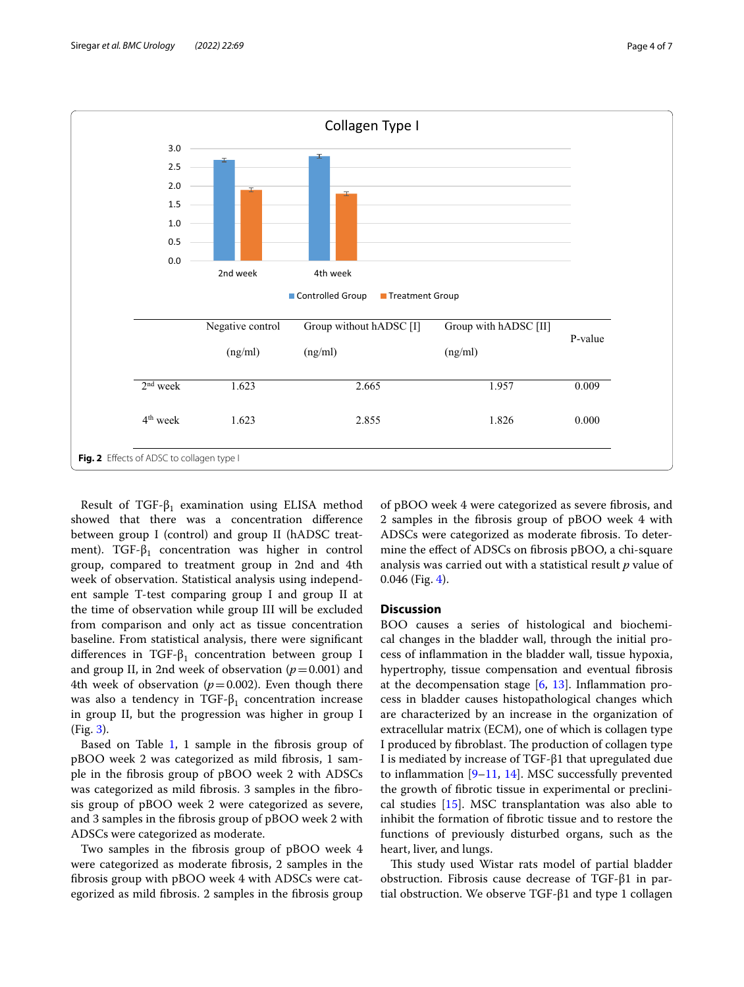

<span id="page-3-0"></span>Result of TGF- $\beta_1$  examination using ELISA method showed that there was a concentration diference between group I (control) and group II (hADSC treatment). TGF- $\beta_1$  concentration was higher in control group, compared to treatment group in 2nd and 4th week of observation. Statistical analysis using independent sample T-test comparing group I and group II at the time of observation while group III will be excluded from comparison and only act as tissue concentration baseline. From statistical analysis, there were signifcant differences in TGF- $\beta_1$  concentration between group I and group II, in 2nd week of observation  $(p=0.001)$  and 4th week of observation  $(p=0.002)$ . Even though there was also a tendency in TGF- $\beta_1$  concentration increase in group II, but the progression was higher in group I (Fig. [3\)](#page-4-0).

Based on Table [1](#page-4-1), 1 sample in the fibrosis group of pBOO week 2 was categorized as mild fbrosis, 1 sample in the fbrosis group of pBOO week 2 with ADSCs was categorized as mild fbrosis. 3 samples in the fbrosis group of pBOO week 2 were categorized as severe, and 3 samples in the fbrosis group of pBOO week 2 with ADSCs were categorized as moderate.

Two samples in the fbrosis group of pBOO week 4 were categorized as moderate fbrosis, 2 samples in the fbrosis group with pBOO week 4 with ADSCs were categorized as mild fbrosis. 2 samples in the fbrosis group

of pBOO week 4 were categorized as severe fbrosis, and 2 samples in the fbrosis group of pBOO week 4 with ADSCs were categorized as moderate fbrosis. To determine the efect of ADSCs on fbrosis pBOO, a chi-square analysis was carried out with a statistical result *p* value of 0.046 (Fig. [4](#page-5-0)).

## **Discussion**

BOO causes a series of histological and biochemical changes in the bladder wall, through the initial process of infammation in the bladder wall, tissue hypoxia, hypertrophy, tissue compensation and eventual fbrosis at the decompensation stage [\[6](#page-6-5), [13](#page-6-11)]. Infammation process in bladder causes histopathological changes which are characterized by an increase in the organization of extracellular matrix (ECM), one of which is collagen type I produced by fibroblast. The production of collagen type I is mediated by increase of TGF-β1 that upregulated due to inflammation  $[9-11, 14]$  $[9-11, 14]$  $[9-11, 14]$  $[9-11, 14]$ . MSC successfully prevented the growth of fbrotic tissue in experimental or preclinical studies [[15\]](#page-6-13). MSC transplantation was also able to inhibit the formation of fbrotic tissue and to restore the functions of previously disturbed organs, such as the heart, liver, and lungs.

This study used Wistar rats model of partial bladder obstruction. Fibrosis cause decrease of TGF-β1 in partial obstruction. We observe TGF-β1 and type 1 collagen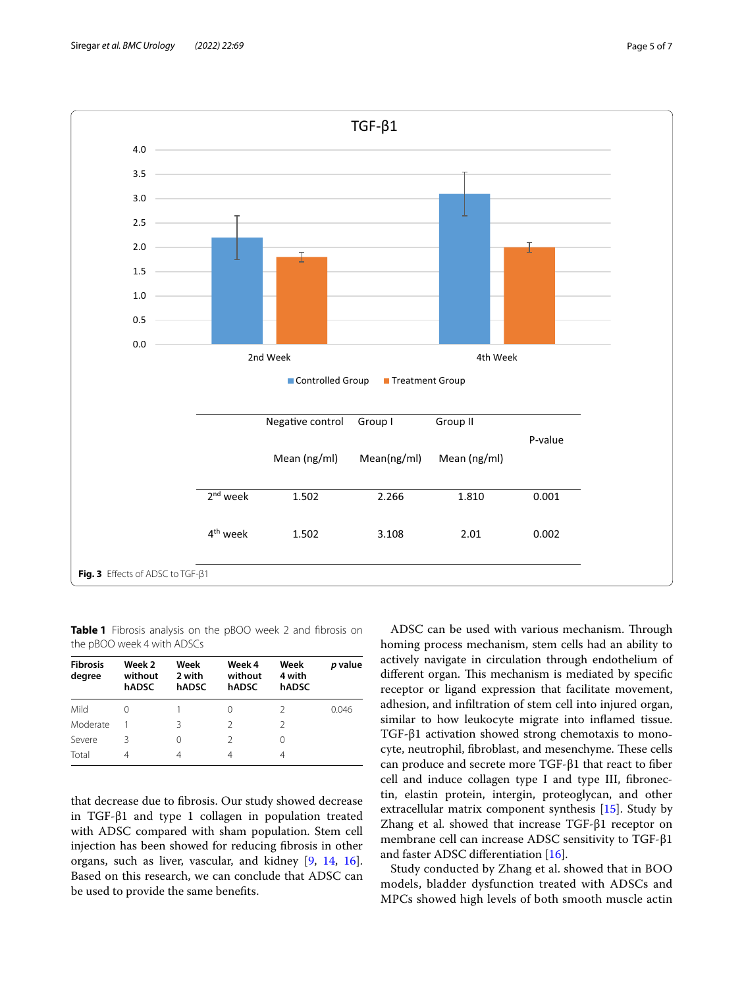

<span id="page-4-1"></span><span id="page-4-0"></span>**Table 1** Fibrosis analysis on the pBOO week 2 and fibrosis on the pBOO week 4 with ADSCs

| <b>Fibrosis</b><br>degree | Week 2<br>without<br>hADSC | Week<br>2 with<br>hADSC | Week 4<br>without<br>hADSC | Week<br>4 with<br>hADSC | p value |
|---------------------------|----------------------------|-------------------------|----------------------------|-------------------------|---------|
| Mild                      | 0                          |                         | 0                          | 2                       | 0.046   |
| Moderate                  |                            | ζ                       | $\mathcal{D}$              | $\mathcal{P}$           |         |
| Severe                    | ζ                          | 0                       | $\mathcal{L}$              | 0                       |         |
| Total                     | 4                          | 4                       | 4                          | 4                       |         |

that decrease due to fbrosis. Our study showed decrease in TGF-β1 and type 1 collagen in population treated with ADSC compared with sham population. Stem cell injection has been showed for reducing fbrosis in other organs, such as liver, vascular, and kidney [[9,](#page-6-7) [14](#page-6-12), [16](#page-6-14)]. Based on this research, we can conclude that ADSC can be used to provide the same benefts.

ADSC can be used with various mechanism. Through homing process mechanism, stem cells had an ability to actively navigate in circulation through endothelium of different organ. This mechanism is mediated by specific receptor or ligand expression that facilitate movement, adhesion, and infltration of stem cell into injured organ, similar to how leukocyte migrate into infamed tissue. TGF-β1 activation showed strong chemotaxis to monocyte, neutrophil, fibroblast, and mesenchyme. These cells can produce and secrete more TGF-β1 that react to fber cell and induce collagen type I and type III, fbronectin, elastin protein, intergin, proteoglycan, and other extracellular matrix component synthesis [[15](#page-6-13)]. Study by Zhang et al. showed that increase TGF-β1 receptor on membrane cell can increase ADSC sensitivity to TGF-β1 and faster ADSC diferentiation [[16](#page-6-14)].

Study conducted by Zhang et al. showed that in BOO models, bladder dysfunction treated with ADSCs and MPCs showed high levels of both smooth muscle actin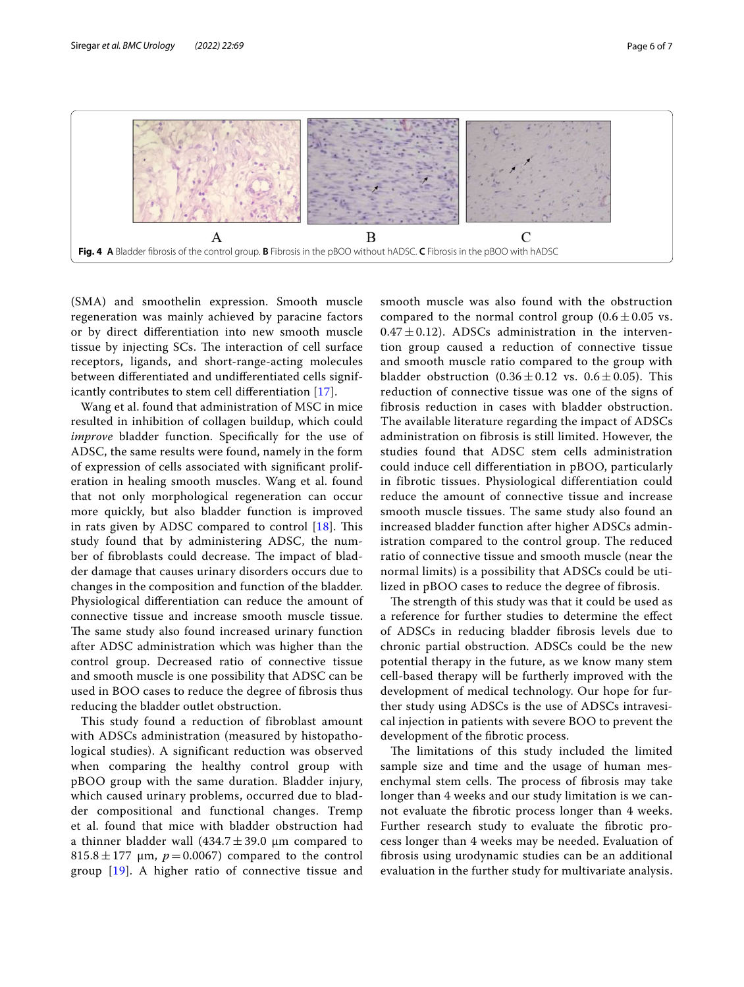

<span id="page-5-0"></span>(SMA) and smoothelin expression. Smooth muscle regeneration was mainly achieved by paracine factors or by direct diferentiation into new smooth muscle tissue by injecting SCs. The interaction of cell surface receptors, ligands, and short-range-acting molecules between diferentiated and undiferentiated cells significantly contributes to stem cell diferentiation [\[17\]](#page-6-15).

Wang et al. found that administration of MSC in mice resulted in inhibition of collagen buildup, which could *improve* bladder function. Specifically for the use of ADSC, the same results were found, namely in the form of expression of cells associated with signifcant proliferation in healing smooth muscles. Wang et al. found that not only morphological regeneration can occur more quickly, but also bladder function is improved in rats given by ADSC compared to control  $[18]$ . This study found that by administering ADSC, the number of fibroblasts could decrease. The impact of bladder damage that causes urinary disorders occurs due to changes in the composition and function of the bladder. Physiological diferentiation can reduce the amount of connective tissue and increase smooth muscle tissue. The same study also found increased urinary function after ADSC administration which was higher than the control group. Decreased ratio of connective tissue and smooth muscle is one possibility that ADSC can be used in BOO cases to reduce the degree of fbrosis thus reducing the bladder outlet obstruction.

This study found a reduction of fibroblast amount with ADSCs administration (measured by histopathological studies). A significant reduction was observed when comparing the healthy control group with pBOO group with the same duration. Bladder injury, which caused urinary problems, occurred due to bladder compositional and functional changes. Tremp et al. found that mice with bladder obstruction had a thinner bladder wall  $(434.7 \pm 39.0 \mu m$  compared to  $815.8 \pm 177$  µm,  $p = 0.0067$ ) compared to the control group [\[19](#page-6-17)]. A higher ratio of connective tissue and

smooth muscle was also found with the obstruction compared to the normal control group  $(0.6 \pm 0.05 \text{ vs.})$  $0.47 \pm 0.12$ ). ADSCs administration in the intervention group caused a reduction of connective tissue and smooth muscle ratio compared to the group with bladder obstruction  $(0.36 \pm 0.12 \text{ vs. } 0.6 \pm 0.05)$ . This reduction of connective tissue was one of the signs of fibrosis reduction in cases with bladder obstruction. The available literature regarding the impact of ADSCs administration on fibrosis is still limited. However, the studies found that ADSC stem cells administration could induce cell differentiation in pBOO, particularly in fibrotic tissues. Physiological differentiation could reduce the amount of connective tissue and increase smooth muscle tissues. The same study also found an increased bladder function after higher ADSCs administration compared to the control group. The reduced ratio of connective tissue and smooth muscle (near the normal limits) is a possibility that ADSCs could be utilized in pBOO cases to reduce the degree of fibrosis.

The strength of this study was that it could be used as a reference for further studies to determine the efect of ADSCs in reducing bladder fbrosis levels due to chronic partial obstruction. ADSCs could be the new potential therapy in the future, as we know many stem cell-based therapy will be furtherly improved with the development of medical technology. Our hope for further study using ADSCs is the use of ADSCs intravesical injection in patients with severe BOO to prevent the development of the fbrotic process.

The limitations of this study included the limited sample size and time and the usage of human mesenchymal stem cells. The process of fibrosis may take longer than 4 weeks and our study limitation is we cannot evaluate the fbrotic process longer than 4 weeks. Further research study to evaluate the fbrotic process longer than 4 weeks may be needed. Evaluation of fbrosis using urodynamic studies can be an additional evaluation in the further study for multivariate analysis.